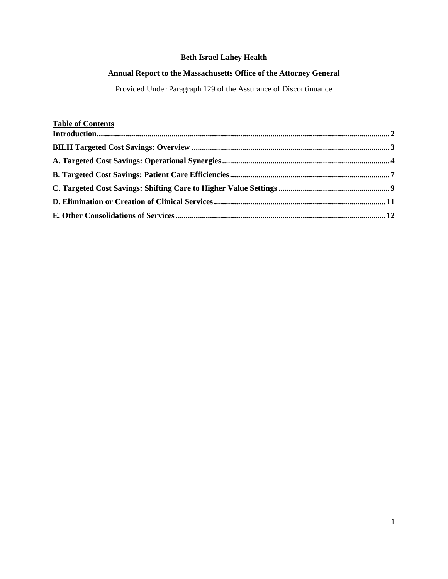# **Beth Israel Lahey Health**

# **Annual Report to the Massachusetts Office of the Attorney General**

Provided Under Paragraph 129 of the Assurance of Discontinuance

# **Table of Contents**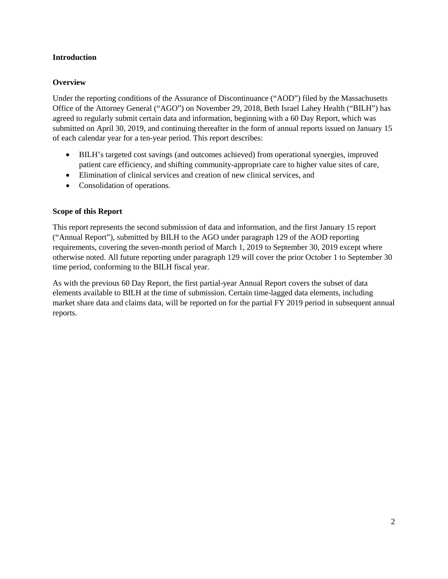### <span id="page-1-0"></span>**Introduction**

### **Overview**

Under the reporting conditions of the Assurance of Discontinuance ("AOD") filed by the Massachusetts Office of the Attorney General ("AGO") on November 29, 2018, Beth Israel Lahey Health ("BILH") has agreed to regularly submit certain data and information, beginning with a 60 Day Report, which was submitted on April 30, 2019, and continuing thereafter in the form of annual reports issued on January 15 of each calendar year for a ten-year period. This report describes:

- BILH's targeted cost savings (and outcomes achieved) from operational synergies, improved patient care efficiency, and shifting community-appropriate care to higher value sites of care,
- Elimination of clinical services and creation of new clinical services, and
- Consolidation of operations.

### **Scope of this Report**

This report represents the second submission of data and information, and the first January 15 report ("Annual Report"), submitted by BILH to the AGO under paragraph 129 of the AOD reporting requirements, covering the seven-month period of March 1, 2019 to September 30, 2019 except where otherwise noted. All future reporting under paragraph 129 will cover the prior October 1 to September 30 time period, conforming to the BILH fiscal year.

As with the previous 60 Day Report, the first partial-year Annual Report covers the subset of data elements available to BILH at the time of submission. Certain time-lagged data elements, including market share data and claims data, will be reported on for the partial FY 2019 period in subsequent annual reports.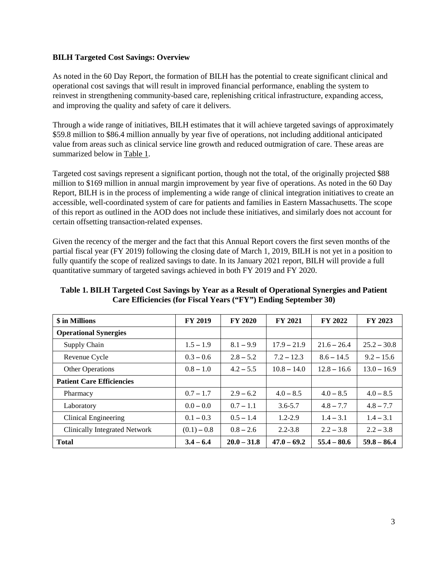#### <span id="page-2-0"></span>**BILH Targeted Cost Savings: Overview**

As noted in the 60 Day Report, the formation of BILH has the potential to create significant clinical and operational cost savings that will result in improved financial performance, enabling the system to reinvest in strengthening community-based care, replenishing critical infrastructure, expanding access, and improving the quality and safety of care it delivers.

Through a wide range of initiatives, BILH estimates that it will achieve targeted savings of approximately \$59.8 million to \$86.4 million annually by year five of operations, not including additional anticipated value from areas such as clinical service line growth and reduced outmigration of care. These areas are summarized below in Table 1.

Targeted cost savings represent a significant portion, though not the total, of the originally projected \$88 million to \$169 million in annual margin improvement by year five of operations. As noted in the 60 Day Report, BILH is in the process of implementing a wide range of clinical integration initiatives to create an accessible, well-coordinated system of care for patients and families in Eastern Massachusetts. The scope of this report as outlined in the AOD does not include these initiatives, and similarly does not account for certain offsetting transaction-related expenses.

Given the recency of the merger and the fact that this Annual Report covers the first seven months of the partial fiscal year (FY 2019) following the closing date of March 1, 2019, BILH is not yet in a position to fully quantify the scope of realized savings to date. In its January 2021 report, BILH will provide a full quantitative summary of targeted savings achieved in both FY 2019 and FY 2020.

| \$ in Millions                   | <b>FY 2019</b> | <b>FY 2020</b> | <b>FY 2021</b> | FY 2022       | FY 2023       |
|----------------------------------|----------------|----------------|----------------|---------------|---------------|
| <b>Operational Synergies</b>     |                |                |                |               |               |
| Supply Chain                     | $1.5 - 1.9$    | $8.1 - 9.9$    | $17.9 - 21.9$  | $21.6 - 26.4$ | $25.2 - 30.8$ |
| Revenue Cycle                    | $0.3 - 0.6$    | $2.8 - 5.2$    | $7.2 - 12.3$   | $8.6 - 14.5$  | $9.2 - 15.6$  |
| Other Operations                 | $0.8 - 1.0$    | $4.2 - 5.5$    | $10.8 - 14.0$  | $12.8 - 16.6$ | $13.0 - 16.9$ |
| <b>Patient Care Efficiencies</b> |                |                |                |               |               |
| Pharmacy                         | $0.7 - 1.7$    | $2.9 - 6.2$    | $4.0 - 8.5$    | $4.0 - 8.5$   | $4.0 - 8.5$   |
| Laboratory                       | $0.0 - 0.0$    | $0.7 - 1.1$    | $3.6 - 5.7$    | $4.8 - 7.7$   | $4.8 - 7.7$   |
| Clinical Engineering             | $0.1 - 0.3$    | $0.5 - 1.4$    | $1.2 - 2.9$    | $1.4 - 3.1$   | $1.4 - 3.1$   |
| Clinically Integrated Network    | $(0.1) - 0.8$  | $0.8 - 2.6$    | $2.2 - 3.8$    | $2.2 - 3.8$   | $2.2 - 3.8$   |
| <b>Total</b>                     | $3.4 - 6.4$    | $20.0 - 31.8$  | $47.0 - 69.2$  | $55.4 - 80.6$ | $59.8 - 86.4$ |

**Table 1. BILH Targeted Cost Savings by Year as a Result of Operational Synergies and Patient Care Efficiencies (for Fiscal Years ("FY") Ending September 30)**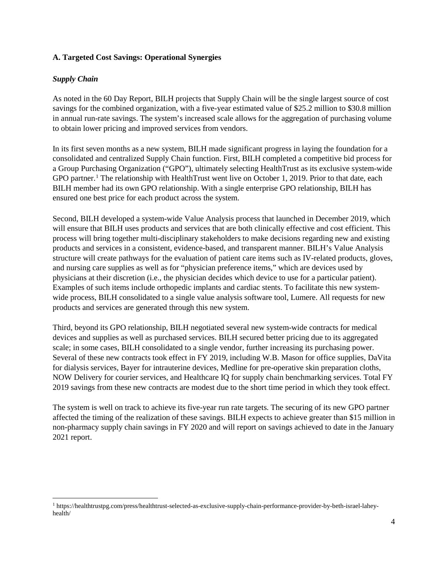### <span id="page-3-0"></span>**A. Targeted Cost Savings: Operational Synergies**

### *Supply Chain*

l

As noted in the 60 Day Report, BILH projects that Supply Chain will be the single largest source of cost savings for the combined organization, with a five-year estimated value of \$25.2 million to \$30.8 million in annual run-rate savings. The system's increased scale allows for the aggregation of purchasing volume to obtain lower pricing and improved services from vendors.

In its first seven months as a new system, BILH made significant progress in laying the foundation for a consolidated and centralized Supply Chain function. First, BILH completed a competitive bid process for a Group Purchasing Organization ("GPO"), ultimately selecting HealthTrust as its exclusive system-wide GPO partner.<sup>[1](#page-3-1)</sup> The relationship with HealthTrust went live on October 1, 2019. Prior to that date, each BILH member had its own GPO relationship. With a single enterprise GPO relationship, BILH has ensured one best price for each product across the system.

Second, BILH developed a system-wide Value Analysis process that launched in December 2019, which will ensure that BILH uses products and services that are both clinically effective and cost efficient. This process will bring together multi-disciplinary stakeholders to make decisions regarding new and existing products and services in a consistent, evidence-based, and transparent manner. BILH's Value Analysis structure will create pathways for the evaluation of patient care items such as IV-related products, gloves, and nursing care supplies as well as for "physician preference items," which are devices used by physicians at their discretion (i.e., the physician decides which device to use for a particular patient). Examples of such items include orthopedic implants and cardiac stents. To facilitate this new systemwide process, BILH consolidated to a single value analysis software tool, Lumere. All requests for new products and services are generated through this new system.

Third, beyond its GPO relationship, BILH negotiated several new system-wide contracts for medical devices and supplies as well as purchased services. BILH secured better pricing due to its aggregated scale; in some cases, BILH consolidated to a single vendor, further increasing its purchasing power. Several of these new contracts took effect in FY 2019, including W.B. Mason for office supplies, DaVita for dialysis services, Bayer for intrauterine devices, Medline for pre-operative skin preparation cloths, NOW Delivery for courier services, and Healthcare IQ for supply chain benchmarking services. Total FY 2019 savings from these new contracts are modest due to the short time period in which they took effect.

The system is well on track to achieve its five-year run rate targets. The securing of its new GPO partner affected the timing of the realization of these savings. BILH expects to achieve greater than \$15 million in non-pharmacy supply chain savings in FY 2020 and will report on savings achieved to date in the January 2021 report.

<span id="page-3-1"></span><sup>1</sup> https://healthtrustpg.com/press/healthtrust-selected-as-exclusive-supply-chain-performance-provider-by-beth-israel-laheyhealth/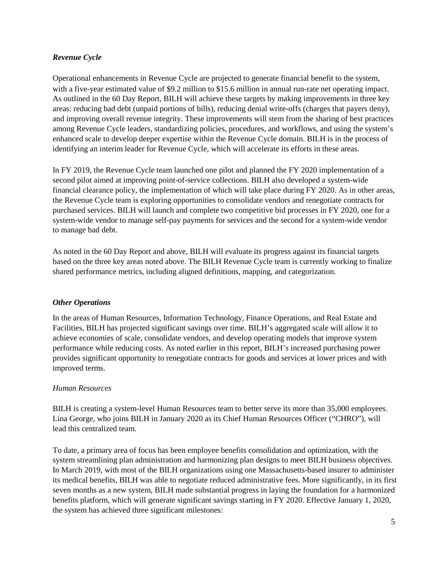### *Revenue Cycle*

Operational enhancements in Revenue Cycle are projected to generate financial benefit to the system, with a five-year estimated value of \$9.2 million to \$15.6 million in annual run-rate net operating impact. As outlined in the 60 Day Report, BILH will achieve these targets by making improvements in three key areas: reducing bad debt (unpaid portions of bills), reducing denial write-offs (charges that payers deny), and improving overall revenue integrity. These improvements will stem from the sharing of best practices among Revenue Cycle leaders, standardizing policies, procedures, and workflows, and using the system's enhanced scale to develop deeper expertise within the Revenue Cycle domain. BILH is in the process of identifying an interim leader for Revenue Cycle, which will accelerate its efforts in these areas.

In FY 2019, the Revenue Cycle team launched one pilot and planned the FY 2020 implementation of a second pilot aimed at improving point-of-service collections. BILH also developed a system-wide financial clearance policy, the implementation of which will take place during FY 2020. As in other areas, the Revenue Cycle team is exploring opportunities to consolidate vendors and renegotiate contracts for purchased services. BILH will launch and complete two competitive bid processes in FY 2020, one for a system-wide vendor to manage self-pay payments for services and the second for a system-wide vendor to manage bad debt.

As noted in the 60 Day Report and above, BILH will evaluate its progress against its financial targets based on the three key areas noted above. The BILH Revenue Cycle team is currently working to finalize shared performance metrics, including aligned definitions, mapping, and categorization.

#### *Other Operations*

In the areas of Human Resources, Information Technology, Finance Operations, and Real Estate and Facilities, BILH has projected significant savings over time. BILH's aggregated scale will allow it to achieve economies of scale, consolidate vendors, and develop operating models that improve system performance while reducing costs. As noted earlier in this report, BILH's increased purchasing power provides significant opportunity to renegotiate contracts for goods and services at lower prices and with improved terms.

#### *Human Resources*

BILH is creating a system-level Human Resources team to better serve its more than 35,000 employees. Lina George, who joins BILH in January 2020 as its Chief Human Resources Officer ("CHRO"), will lead this centralized team.

To date, a primary area of focus has been employee benefits consolidation and optimization, with the system streamlining plan administration and harmonizing plan designs to meet BILH business objectives. In March 2019, with most of the BILH organizations using one Massachusetts-based insurer to administer its medical benefits, BILH was able to negotiate reduced administrative fees. More significantly, in its first seven months as a new system, BILH made substantial progress in laying the foundation for a harmonized benefits platform, which will generate significant savings starting in FY 2020. Effective January 1, 2020, the system has achieved three significant milestones: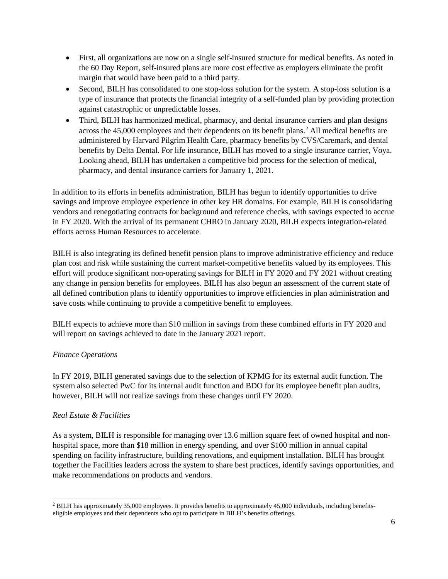- First, all organizations are now on a single self-insured structure for medical benefits. As noted in the 60 Day Report, self-insured plans are more cost effective as employers eliminate the profit margin that would have been paid to a third party.
- Second, BILH has consolidated to one stop-loss solution for the system. A stop-loss solution is a type of insurance that protects the financial integrity of a self-funded plan by providing protection against catastrophic or unpredictable losses.
- Third, BILH has harmonized medical, pharmacy, and dental insurance carriers and plan designs across the 45,000 employees and their dependents on its benefit plans. [2](#page-5-0) All medical benefits are administered by Harvard Pilgrim Health Care, pharmacy benefits by CVS/Caremark, and dental benefits by Delta Dental. For life insurance, BILH has moved to a single insurance carrier, Voya. Looking ahead, BILH has undertaken a competitive bid process for the selection of medical, pharmacy, and dental insurance carriers for January 1, 2021.

In addition to its efforts in benefits administration, BILH has begun to identify opportunities to drive savings and improve employee experience in other key HR domains. For example, BILH is consolidating vendors and renegotiating contracts for background and reference checks, with savings expected to accrue in FY 2020. With the arrival of its permanent CHRO in January 2020, BILH expects integration-related efforts across Human Resources to accelerate.

BILH is also integrating its defined benefit pension plans to improve administrative efficiency and reduce plan cost and risk while sustaining the current market-competitive benefits valued by its employees. This effort will produce significant non-operating savings for BILH in FY 2020 and FY 2021 without creating any change in pension benefits for employees. BILH has also begun an assessment of the current state of all defined contribution plans to identify opportunities to improve efficiencies in plan administration and save costs while continuing to provide a competitive benefit to employees.

BILH expects to achieve more than \$10 million in savings from these combined efforts in FY 2020 and will report on savings achieved to date in the January 2021 report.

### *Finance Operations*

In FY 2019, BILH generated savings due to the selection of KPMG for its external audit function. The system also selected PwC for its internal audit function and BDO for its employee benefit plan audits, however, BILH will not realize savings from these changes until FY 2020.

#### *Real Estate & Facilities*

l

As a system, BILH is responsible for managing over 13.6 million square feet of owned hospital and nonhospital space, more than \$18 million in energy spending, and over \$100 million in annual capital spending on facility infrastructure, building renovations, and equipment installation. BILH has brought together the Facilities leaders across the system to share best practices, identify savings opportunities, and make recommendations on products and vendors.

<span id="page-5-0"></span><sup>2</sup> BILH has approximately 35,000 employees. It provides benefits to approximately 45,000 individuals, including benefitseligible employees and their dependents who opt to participate in BILH's benefits offerings.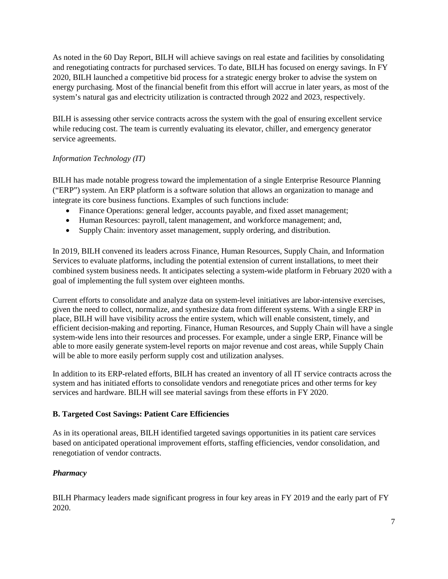As noted in the 60 Day Report, BILH will achieve savings on real estate and facilities by consolidating and renegotiating contracts for purchased services. To date, BILH has focused on energy savings. In FY 2020, BILH launched a competitive bid process for a strategic energy broker to advise the system on energy purchasing. Most of the financial benefit from this effort will accrue in later years, as most of the system's natural gas and electricity utilization is contracted through 2022 and 2023, respectively.

BILH is assessing other service contracts across the system with the goal of ensuring excellent service while reducing cost. The team is currently evaluating its elevator, chiller, and emergency generator service agreements.

## *Information Technology (IT)*

BILH has made notable progress toward the implementation of a single Enterprise Resource Planning ("ERP") system. An ERP platform is a software solution that allows an organization to manage and integrate its core business functions. Examples of such functions include:

- Finance Operations: general ledger, accounts payable, and fixed asset management;
- Human Resources: payroll, talent management, and workforce management; and,
- Supply Chain: inventory asset management, supply ordering, and distribution.

In 2019, BILH convened its leaders across Finance, Human Resources, Supply Chain, and Information Services to evaluate platforms, including the potential extension of current installations, to meet their combined system business needs. It anticipates selecting a system-wide platform in February 2020 with a goal of implementing the full system over eighteen months.

Current efforts to consolidate and analyze data on system-level initiatives are labor-intensive exercises, given the need to collect, normalize, and synthesize data from different systems. With a single ERP in place, BILH will have visibility across the entire system, which will enable consistent, timely, and efficient decision-making and reporting. Finance, Human Resources, and Supply Chain will have a single system-wide lens into their resources and processes. For example, under a single ERP, Finance will be able to more easily generate system-level reports on major revenue and cost areas, while Supply Chain will be able to more easily perform supply cost and utilization analyses.

In addition to its ERP-related efforts, BILH has created an inventory of all IT service contracts across the system and has initiated efforts to consolidate vendors and renegotiate prices and other terms for key services and hardware. BILH will see material savings from these efforts in FY 2020.

### <span id="page-6-0"></span>**B. Targeted Cost Savings: Patient Care Efficiencies**

As in its operational areas, BILH identified targeted savings opportunities in its patient care services based on anticipated operational improvement efforts, staffing efficiencies, vendor consolidation, and renegotiation of vendor contracts.

# *Pharmacy*

BILH Pharmacy leaders made significant progress in four key areas in FY 2019 and the early part of FY 2020.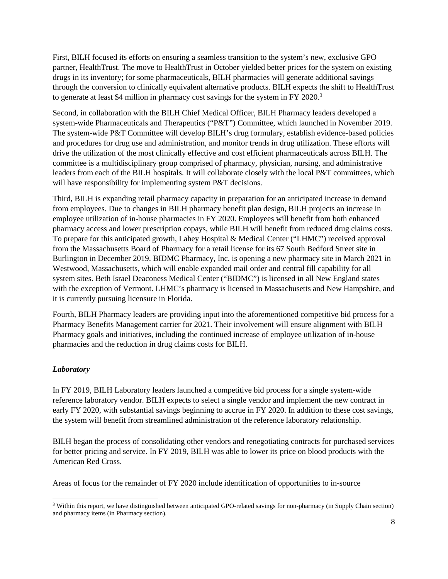First, BILH focused its efforts on ensuring a seamless transition to the system's new, exclusive GPO partner, HealthTrust. The move to HealthTrust in October yielded better prices for the system on existing drugs in its inventory; for some pharmaceuticals, BILH pharmacies will generate additional savings through the conversion to clinically equivalent alternative products. BILH expects the shift to HealthTrust to generate at least \$4 million in pharmacy cost savings for the system in FY 2020.<sup>[3](#page-7-0)</sup>

Second, in collaboration with the BILH Chief Medical Officer, BILH Pharmacy leaders developed a system-wide Pharmaceuticals and Therapeutics ("P&T") Committee, which launched in November 2019. The system-wide P&T Committee will develop BILH's drug formulary, establish evidence-based policies and procedures for drug use and administration, and monitor trends in drug utilization. These efforts will drive the utilization of the most clinically effective and cost efficient pharmaceuticals across BILH. The committee is a multidisciplinary group comprised of pharmacy, physician, nursing, and administrative leaders from each of the BILH hospitals. It will collaborate closely with the local P&T committees, which will have responsibility for implementing system P&T decisions.

Third, BILH is expanding retail pharmacy capacity in preparation for an anticipated increase in demand from employees. Due to changes in BILH pharmacy benefit plan design, BILH projects an increase in employee utilization of in-house pharmacies in FY 2020. Employees will benefit from both enhanced pharmacy access and lower prescription copays, while BILH will benefit from reduced drug claims costs. To prepare for this anticipated growth, Lahey Hospital & Medical Center ("LHMC") received approval from the Massachusetts Board of Pharmacy for a retail license for its 67 South Bedford Street site in Burlington in December 2019. BIDMC Pharmacy, Inc. is opening a new pharmacy site in March 2021 in Westwood, Massachusetts, which will enable expanded mail order and central fill capability for all system sites. Beth Israel Deaconess Medical Center ("BIDMC") is licensed in all New England states with the exception of Vermont. LHMC's pharmacy is licensed in Massachusetts and New Hampshire, and it is currently pursuing licensure in Florida.

Fourth, BILH Pharmacy leaders are providing input into the aforementioned competitive bid process for a Pharmacy Benefits Management carrier for 2021. Their involvement will ensure alignment with BILH Pharmacy goals and initiatives, including the continued increase of employee utilization of in-house pharmacies and the reduction in drug claims costs for BILH.

### *Laboratory*

l

In FY 2019, BILH Laboratory leaders launched a competitive bid process for a single system-wide reference laboratory vendor. BILH expects to select a single vendor and implement the new contract in early FY 2020, with substantial savings beginning to accrue in FY 2020. In addition to these cost savings, the system will benefit from streamlined administration of the reference laboratory relationship.

BILH began the process of consolidating other vendors and renegotiating contracts for purchased services for better pricing and service. In FY 2019, BILH was able to lower its price on blood products with the American Red Cross.

Areas of focus for the remainder of FY 2020 include identification of opportunities to in-source

<span id="page-7-0"></span><sup>&</sup>lt;sup>3</sup> Within this report, we have distinguished between anticipated GPO-related savings for non-pharmacy (in Supply Chain section) and pharmacy items (in Pharmacy section).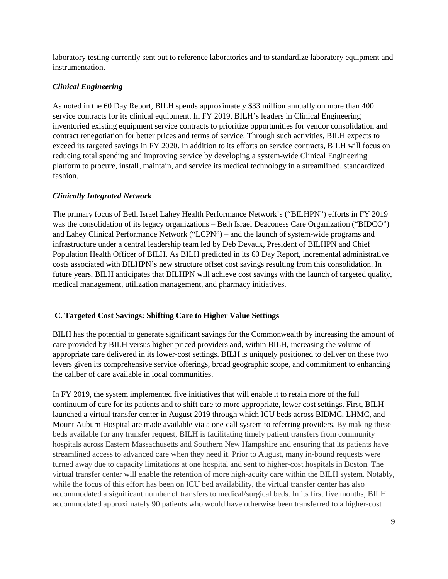laboratory testing currently sent out to reference laboratories and to standardize laboratory equipment and instrumentation.

### *Clinical Engineering*

As noted in the 60 Day Report, BILH spends approximately \$33 million annually on more than 400 service contracts for its clinical equipment. In FY 2019, BILH's leaders in Clinical Engineering inventoried existing equipment service contracts to prioritize opportunities for vendor consolidation and contract renegotiation for better prices and terms of service. Through such activities, BILH expects to exceed its targeted savings in FY 2020. In addition to its efforts on service contracts, BILH will focus on reducing total spending and improving service by developing a system-wide Clinical Engineering platform to procure, install, maintain, and service its medical technology in a streamlined, standardized fashion.

### *Clinically Integrated Network*

The primary focus of Beth Israel Lahey Health Performance Network's ("BILHPN") efforts in FY 2019 was the consolidation of its legacy organizations – Beth Israel Deaconess Care Organization ("BIDCO") and Lahey Clinical Performance Network ("LCPN") – and the launch of system-wide programs and infrastructure under a central leadership team led by Deb Devaux, President of BILHPN and Chief Population Health Officer of BILH. As BILH predicted in its 60 Day Report, incremental administrative costs associated with BILHPN's new structure offset cost savings resulting from this consolidation. In future years, BILH anticipates that BILHPN will achieve cost savings with the launch of targeted quality, medical management, utilization management, and pharmacy initiatives.

### <span id="page-8-0"></span>**C. Targeted Cost Savings: Shifting Care to Higher Value Settings**

BILH has the potential to generate significant savings for the Commonwealth by increasing the amount of care provided by BILH versus higher-priced providers and, within BILH, increasing the volume of appropriate care delivered in its lower-cost settings. BILH is uniquely positioned to deliver on these two levers given its comprehensive service offerings, broad geographic scope, and commitment to enhancing the caliber of care available in local communities.

In FY 2019, the system implemented five initiatives that will enable it to retain more of the full continuum of care for its patients and to shift care to more appropriate, lower cost settings. First, BILH launched a virtual transfer center in August 2019 through which ICU beds across BIDMC, LHMC, and Mount Auburn Hospital are made available via a one-call system to referring providers. By making these beds available for any transfer request, BILH is facilitating timely patient transfers from community hospitals across Eastern Massachusetts and Southern New Hampshire and ensuring that its patients have streamlined access to advanced care when they need it. Prior to August, many in-bound requests were turned away due to capacity limitations at one hospital and sent to higher-cost hospitals in Boston. The virtual transfer center will enable the retention of more high-acuity care within the BILH system. Notably, while the focus of this effort has been on ICU bed availability, the virtual transfer center has also accommodated a significant number of transfers to medical/surgical beds. In its first five months, BILH accommodated approximately 90 patients who would have otherwise been transferred to a higher-cost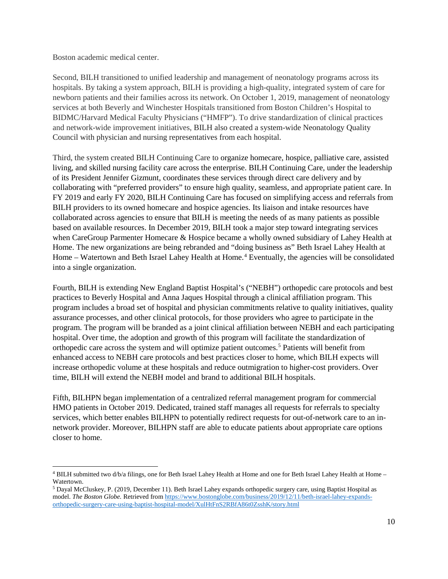Boston academic medical center.

 $\overline{\phantom{a}}$ 

Second, BILH transitioned to unified leadership and management of neonatology programs across its hospitals. By taking a system approach, BILH is providing a high-quality, integrated system of care for newborn patients and their families across its network. On October 1, 2019, management of neonatology services at both Beverly and Winchester Hospitals transitioned from Boston Children's Hospital to BIDMC/Harvard Medical Faculty Physicians ("HMFP"). To drive standardization of clinical practices and network-wide improvement initiatives, BILH also created a system-wide Neonatology Quality Council with physician and nursing representatives from each hospital.

Third, the system created BILH Continuing Care to organize homecare, hospice, palliative care, assisted living, and skilled nursing facility care across the enterprise. BILH Continuing Care, under the leadership of its President Jennifer Gizmunt, coordinates these services through direct care delivery and by collaborating with "preferred providers" to ensure high quality, seamless, and appropriate patient care. In FY 2019 and early FY 2020, BILH Continuing Care has focused on simplifying access and referrals from BILH providers to its owned homecare and hospice agencies. Its liaison and intake resources have collaborated across agencies to ensure that BILH is meeting the needs of as many patients as possible based on available resources. In December 2019, BILH took a major step toward integrating services when CareGroup Parmenter Homecare & Hospice became a wholly owned subsidiary of Lahey Health at Home. The new organizations are being rebranded and "doing business as" Beth Israel Lahey Health at Home – Watertown and Beth Israel Lahey Health at Home. [4](#page-9-0) Eventually, the agencies will be consolidated into a single organization.

Fourth, BILH is extending New England Baptist Hospital's ("NEBH") orthopedic care protocols and best practices to Beverly Hospital and Anna Jaques Hospital through a clinical affiliation program. This program includes a broad set of hospital and physician commitments relative to quality initiatives, quality assurance processes, and other clinical protocols, for those providers who agree to participate in the program. The program will be branded as a joint clinical affiliation between NEBH and each participating hospital. Over time, the adoption and growth of this program will facilitate the standardization of orthopedic care across the system and will optimize patient outcomes.[5](#page-9-1) Patients will benefit from enhanced access to NEBH care protocols and best practices closer to home, which BILH expects will increase orthopedic volume at these hospitals and reduce outmigration to higher-cost providers. Over time, BILH will extend the NEBH model and brand to additional BILH hospitals.

Fifth, BILHPN began implementation of a centralized referral management program for commercial HMO patients in October 2019. Dedicated, trained staff manages all requests for referrals to specialty services, which better enables BILHPN to potentially redirect requests for out-of-network care to an innetwork provider. Moreover, BILHPN staff are able to educate patients about appropriate care options closer to home.

<span id="page-9-0"></span><sup>4</sup> BILH submitted two d/b/a filings, one for Beth Israel Lahey Health at Home and one for Beth Israel Lahey Health at Home – Watertown.

<span id="page-9-1"></span><sup>5</sup> Dayal McCluskey, P. (2019, December 11). Beth Israel Lahey expands orthopedic surgery care, using Baptist Hospital as model. *The Boston Globe.* Retrieved fro[m https://www.bostonglobe.com/business/2019/12/11/beth-israel-lahey-expands](https://www.bostonglobe.com/business/2019/12/11/beth-israel-lahey-expands-orthopedic-surgery-care-using-baptist-hospital-model/XulHtFnS2RBfA86t0ZsshK/story.html)[orthopedic-surgery-care-using-baptist-hospital-model/XulHtFnS2RBfA86t0ZsshK/story.html](https://www.bostonglobe.com/business/2019/12/11/beth-israel-lahey-expands-orthopedic-surgery-care-using-baptist-hospital-model/XulHtFnS2RBfA86t0ZsshK/story.html)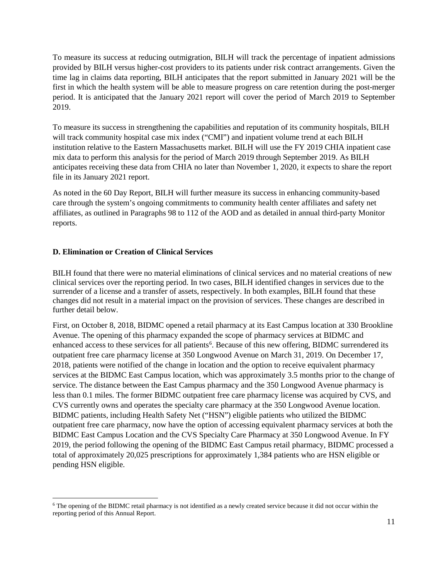To measure its success at reducing outmigration, BILH will track the percentage of inpatient admissions provided by BILH versus higher-cost providers to its patients under risk contract arrangements. Given the time lag in claims data reporting, BILH anticipates that the report submitted in January 2021 will be the first in which the health system will be able to measure progress on care retention during the post-merger period. It is anticipated that the January 2021 report will cover the period of March 2019 to September 2019.

To measure its success in strengthening the capabilities and reputation of its community hospitals, BILH will track community hospital case mix index ("CMI") and inpatient volume trend at each BILH institution relative to the Eastern Massachusetts market. BILH will use the FY 2019 CHIA inpatient case mix data to perform this analysis for the period of March 2019 through September 2019. As BILH anticipates receiving these data from CHIA no later than November 1, 2020, it expects to share the report file in its January 2021 report.

As noted in the 60 Day Report, BILH will further measure its success in enhancing community-based care through the system's ongoing commitments to community health center affiliates and safety net affiliates, as outlined in Paragraphs 98 to 112 of the AOD and as detailed in annual third-party Monitor reports.

### <span id="page-10-0"></span>**D. Elimination or Creation of Clinical Services**

l

BILH found that there were no material eliminations of clinical services and no material creations of new clinical services over the reporting period. In two cases, BILH identified changes in services due to the surrender of a license and a transfer of assets, respectively. In both examples, BILH found that these changes did not result in a material impact on the provision of services. These changes are described in further detail below.

First, on October 8, 2018, BIDMC opened a retail pharmacy at its East Campus location at 330 Brookline Avenue. The opening of this pharmacy expanded the scope of pharmacy services at BIDMC and enhanced access to these services for all patients<sup>[6](#page-10-1)</sup>. Because of this new offering, BIDMC surrendered its outpatient free care pharmacy license at 350 Longwood Avenue on March 31, 2019. On December 17, 2018, patients were notified of the change in location and the option to receive equivalent pharmacy services at the BIDMC East Campus location, which was approximately 3.5 months prior to the change of service. The distance between the East Campus pharmacy and the 350 Longwood Avenue pharmacy is less than 0.1 miles. The former BIDMC outpatient free care pharmacy license was acquired by CVS, and CVS currently owns and operates the specialty care pharmacy at the 350 Longwood Avenue location. BIDMC patients, including Health Safety Net ("HSN") eligible patients who utilized the BIDMC outpatient free care pharmacy, now have the option of accessing equivalent pharmacy services at both the BIDMC East Campus Location and the CVS Specialty Care Pharmacy at 350 Longwood Avenue. In FY 2019, the period following the opening of the BIDMC East Campus retail pharmacy, BIDMC processed a total of approximately 20,025 prescriptions for approximately 1,384 patients who are HSN eligible or pending HSN eligible.

<span id="page-10-1"></span><sup>6</sup> The opening of the BIDMC retail pharmacy is not identified as a newly created service because it did not occur within the reporting period of this Annual Report.